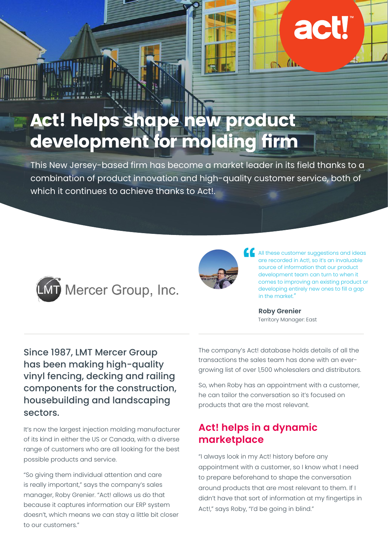# Act! helps shape new product development for molding firm

This New Jersey-based firm has become a market leader in its field thanks to a combination of product innovation and high-quality customer service, both of which it continues to achieve thanks to ActL





All these customer suggestions and ideas are recorded in Act!, so it's an invaluable source of information that our product development team can turn to when it comes to improving an existing product or developing entirely new ones to fill a gap in the market."

act

 $\mathbb{R}$   $\mathbb{R}$ 

**Roby Grenier** Territory Manager: East

Since 1987, LMT Mercer Group has been making high-quality vinyl fencing, decking and railing components for the construction, housebuilding and landscaping sectors.

It's now the largest injection molding manufacturer of its kind in either the US or Canada, with a diverse range of customers who are all looking for the best possible products and service.

"So giving them individual attention and care is really important," says the company's sales manager, Roby Grenier. "Act! allows us do that because it captures information our ERP system doesn't, which means we can stay a little bit closer to our customers."

The company's Act! database holds details of all the transactions the sales team has done with an evergrowing list of over 1,500 wholesalers and distributors.

So, when Roby has an appointment with a customer, he can tailor the conversation so it's focused on products that are the most relevant.

### **Act! helps in a dynamic marketplace**

"I always look in my Act! history before any appointment with a customer, so I know what I need to prepare beforehand to shape the conversation around products that are most relevant to them. If I didn't have that sort of information at my fingertips in Act!," says Roby, "I'd be going in blind."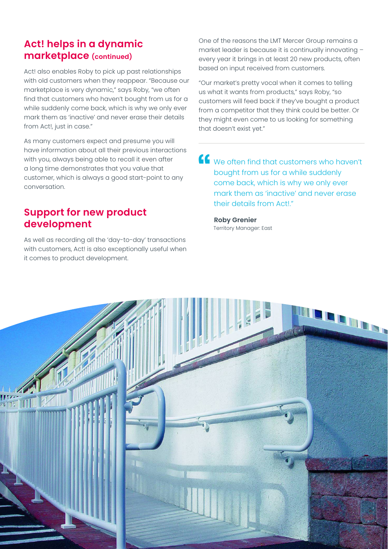#### **Act! helps in a dynamic marketplace (continued)**

Act! also enables Roby to pick up past relationships with old customers when they reappear. "Because our marketplace is very dynamic," says Roby, "we often find that customers who haven't bought from us for a while suddenly come back, which is why we only ever mark them as 'inactive' and never erase their details from Act!, just in case."

As many customers expect and presume you will have information about all their previous interactions with you, always being able to recall it even after a long time demonstrates that you value that customer, which is always a good start-point to any conversation.

#### **Support for new product development**

As well as recording all the 'day-to-day' transactions with customers, Act! is also exceptionally useful when it comes to product development.

One of the reasons the LMT Mercer Group remains a market leader is because it is continually innovating – every year it brings in at least 20 new products, often based on input received from customers.

"Our market's pretty vocal when it comes to telling us what it wants from products," says Roby, "so customers will feed back if they've bought a product from a competitor that they think could be better. Or they might even come to us looking for something that doesn't exist yet."

We often find that customers who haven't bought from us for a while suddenly come back, which is why we only ever mark them as 'inactive' and never erase their details from Act!."

**Roby Grenier** Territory Manager: East